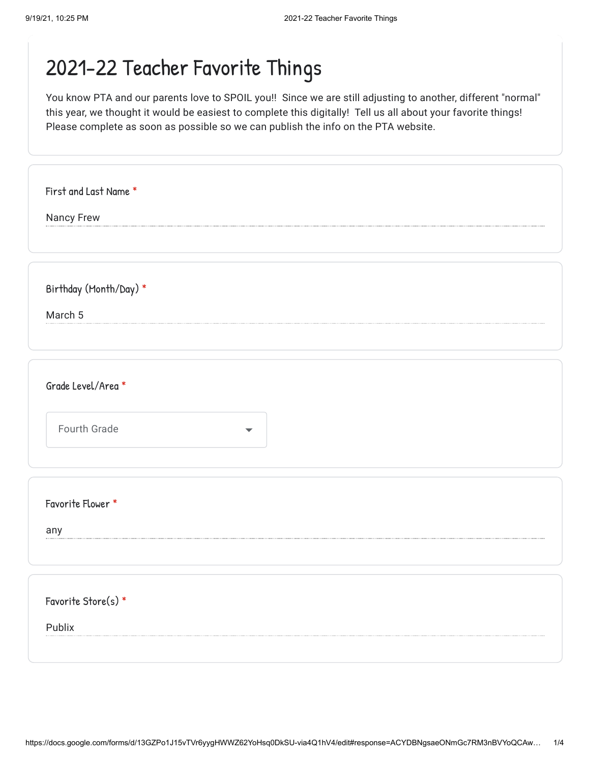| First and Last Name *                |  |
|--------------------------------------|--|
| Nancy Frew                           |  |
|                                      |  |
|                                      |  |
| Birthday (Month/Day) *               |  |
| March 5                              |  |
|                                      |  |
|                                      |  |
| Grade Level/Area *                   |  |
| Fourth Grade<br>$\blacktriangledown$ |  |
|                                      |  |
|                                      |  |
| Favorite Flower *                    |  |
| any                                  |  |
|                                      |  |
|                                      |  |
| Favorite Store(s) *                  |  |
| Publix                               |  |
|                                      |  |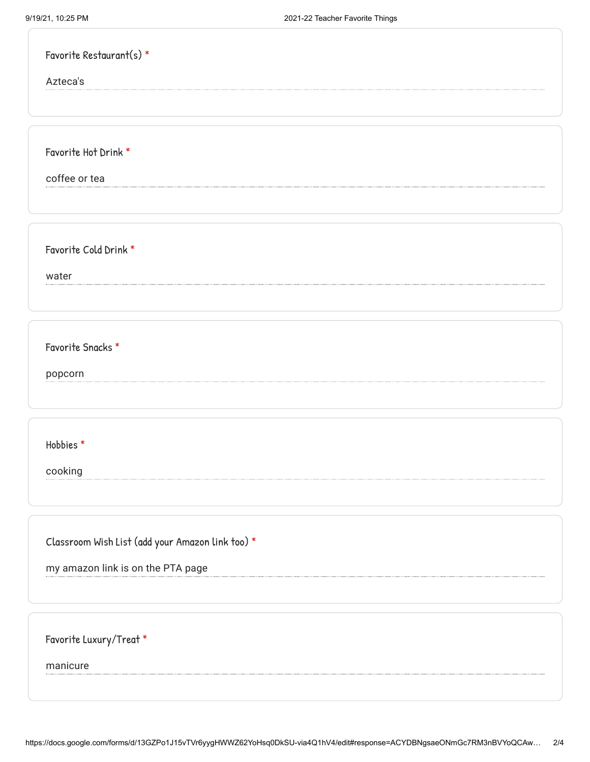| Favorite Restaurant(s) *                         |
|--------------------------------------------------|
| Azteca's                                         |
|                                                  |
|                                                  |
| Favorite Hot Drink *                             |
| coffee or tea                                    |
|                                                  |
|                                                  |
| Favorite Cold Drink *                            |
| water                                            |
|                                                  |
|                                                  |
| Favorite Snacks *                                |
| popcorn                                          |
|                                                  |
|                                                  |
| Hobbies*                                         |
| cooking                                          |
|                                                  |
|                                                  |
| Classroom Wish List (add your Amazon link too) * |
| my amazon link is on the PTA page                |
|                                                  |
|                                                  |
| Favorite Luxury/Treat *                          |
| manicure                                         |
|                                                  |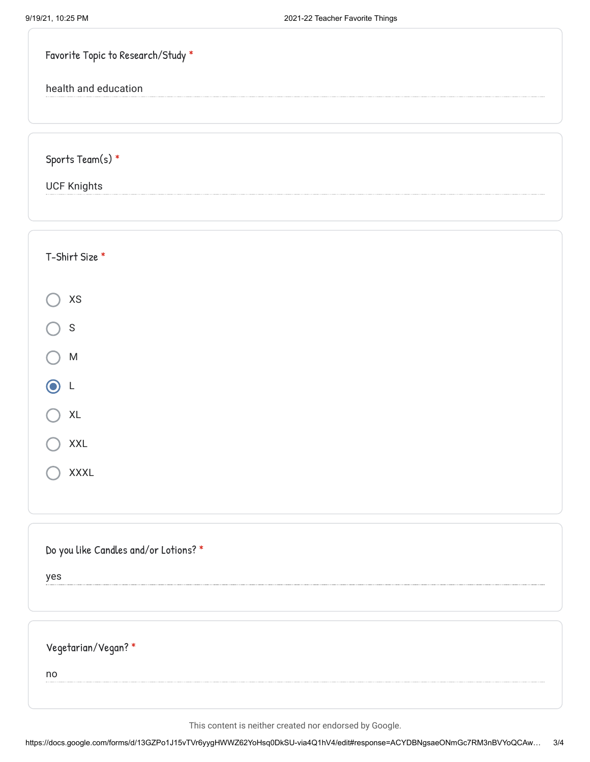| Favorite Topic to Research/Study *    |  |
|---------------------------------------|--|
| health and education                  |  |
|                                       |  |
| Sports Team(s) $*$                    |  |
| <b>UCF Knights</b>                    |  |
|                                       |  |
| T-Shirt Size *                        |  |
|                                       |  |
| $\pmb{\mathsf{XS}}$                   |  |
| $\mathsf S$                           |  |
| ${\sf M}$                             |  |
| L                                     |  |
| $\mathsf{XL}$                         |  |
| <b>XXL</b>                            |  |
| XXXL                                  |  |
|                                       |  |
| Do you like Candles and/or Lotions? * |  |
| yes                                   |  |
|                                       |  |
| Vegetarian/Vegan?*                    |  |
| no                                    |  |
|                                       |  |

This content is neither created nor endorsed by Google.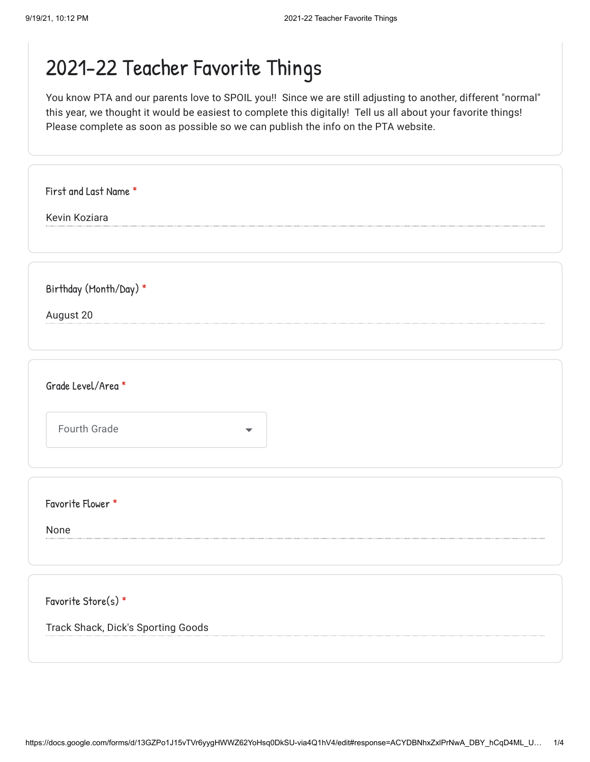| First and Last Name *              |                          |
|------------------------------------|--------------------------|
| Kevin Koziara                      |                          |
|                                    |                          |
|                                    |                          |
| Birthday (Month/Day) *             |                          |
| August 20                          |                          |
|                                    |                          |
|                                    |                          |
| Grade Level/Area *                 |                          |
|                                    |                          |
| Fourth Grade                       | $\overline{\phantom{a}}$ |
|                                    |                          |
|                                    |                          |
| Favorite Flower *                  |                          |
| None                               |                          |
|                                    |                          |
|                                    |                          |
| Favorite Store(s) *                |                          |
| Track Shack, Dick's Sporting Goods |                          |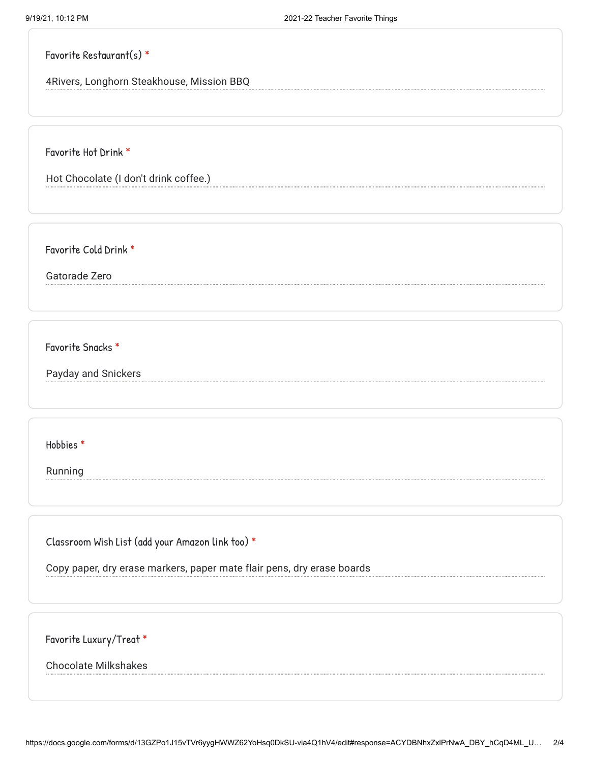|  | Favorite Restaurant(s) * |  |
|--|--------------------------|--|
|--|--------------------------|--|

4Rivers, Longhorn Steakhouse, Mission BBQ

Favorite Hot Drink \*

Hot Chocolate (I don't drink coffee.)

Favorite Cold Drink \*

Gatorade Zero

Favorite Snacks \*

Payday and Snickers

Hobbies \*

Running

Classroom Wish List (add your Amazon link too) \*

Copy paper, dry erase markers, paper mate flair pens, dry erase boards

Favorite Luxury/Treat \*

Chocolate Milkshakes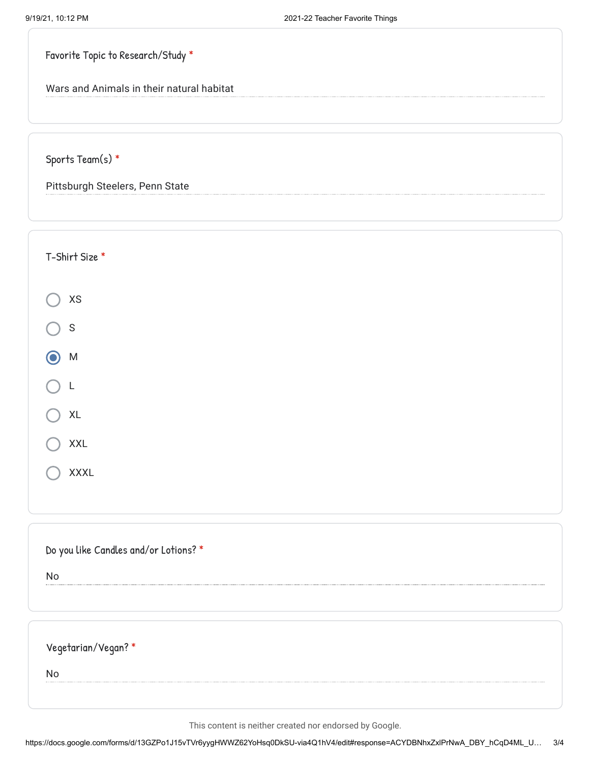Favorite Topic to Research/Study \*

Wars and Animals in their natural habitat

Sports Team(s) \*

Pittsburgh Steelers, Penn State

| T-Shirt Size *                        |
|---------------------------------------|
| $\mathsf{X}\mathsf{S}$                |
| $\mathsf S$                           |
| ${\sf M}$                             |
| L                                     |
| $\mathsf{XL}$                         |
| XXL                                   |
| XXXL                                  |
|                                       |
| Do you like Candles and/or Lotions? * |
| No                                    |
|                                       |
| Vegetarian/Vegan?*                    |
| No                                    |
|                                       |

This content is neither created nor endorsed by Google.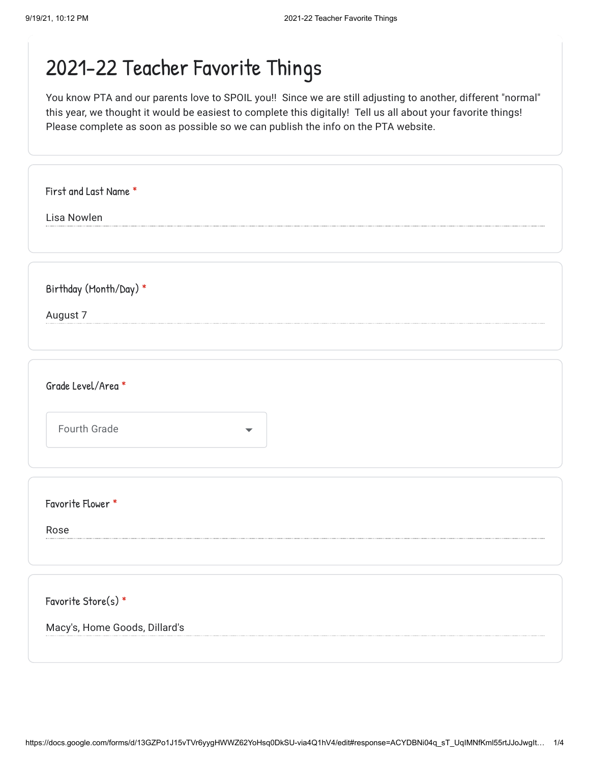| First and Last Name *                    |  |
|------------------------------------------|--|
| Lisa Nowlen                              |  |
|                                          |  |
|                                          |  |
| Birthday (Month/Day) *                   |  |
| August 7                                 |  |
|                                          |  |
|                                          |  |
| Grade Level/Area *                       |  |
|                                          |  |
| Fourth Grade<br>$\overline{\phantom{a}}$ |  |
|                                          |  |
|                                          |  |
| Favorite Flower *                        |  |
|                                          |  |
| Rose                                     |  |
|                                          |  |
|                                          |  |
| Favorite Store(s) *                      |  |
| Macy's, Home Goods, Dillard's            |  |
|                                          |  |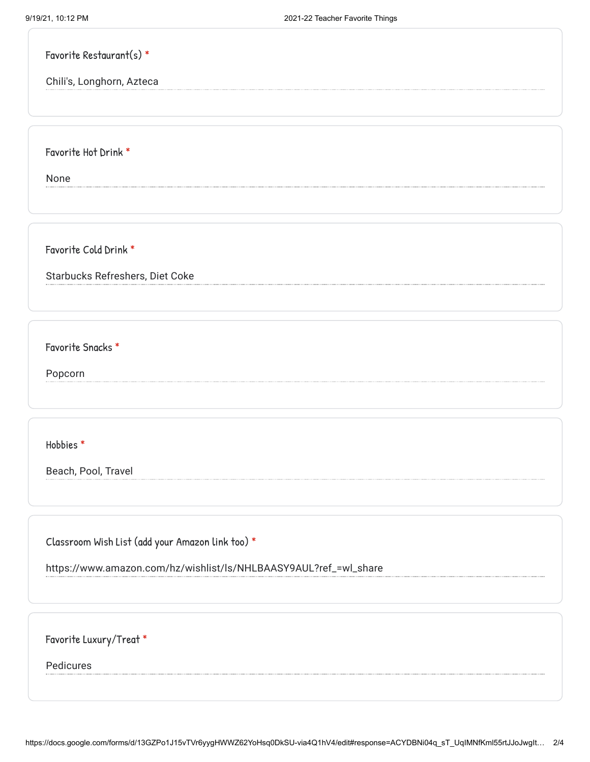| Favorite Restaurant(s) $*$ |  |
|----------------------------|--|
| Chili's, Longhorn, Azteca  |  |

Favorite Hot Drink \*

None

Favorite Cold Drink \*

Starbucks Refreshers, Diet Coke

Favorite Snacks \*

Popcorn

Hobbies \*

Beach, Pool, Travel

Classroom Wish List (add your Amazon link too) \*

https://www.amazon.com/hz/wishlist/ls/NHLBAASY9AUL?ref\_=wl\_share

Favorite Luxury/Treat \*

Pedicures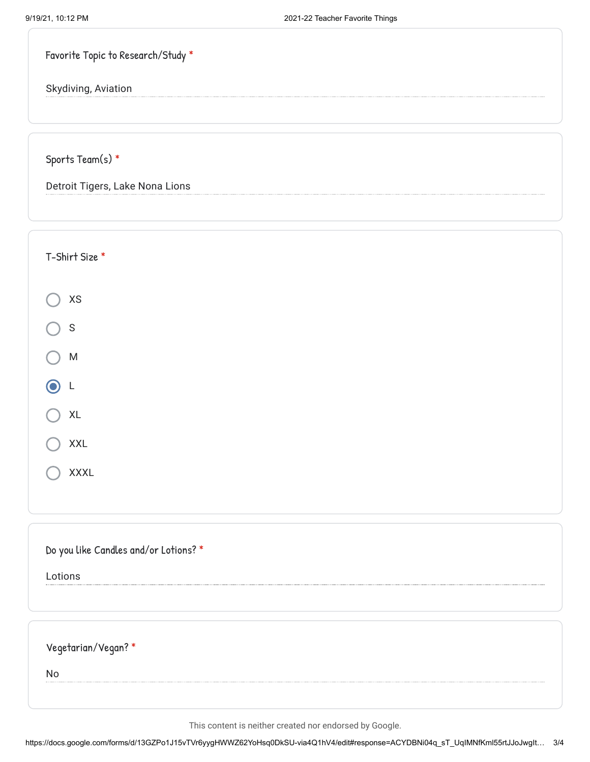| Favorite Topic to Research/Study * |  |  |  |  |
|------------------------------------|--|--|--|--|
|------------------------------------|--|--|--|--|

Skydiving, Aviation

Sports Team(s) \*

Detroit Tigers, Lake Nona Lions

| T-Shirt Size *                        |  |
|---------------------------------------|--|
| $\mathsf{X}\mathsf{S}$                |  |
| $\mathsf S$                           |  |
| ${\sf M}$                             |  |
| 6<br>L                                |  |
| XL                                    |  |
| XXL                                   |  |
| XXXL                                  |  |
|                                       |  |
| Do you like Candles and/or Lotions? * |  |
| Lotions                               |  |
|                                       |  |
| Vegetarian/Vegan?*                    |  |
| <b>No</b>                             |  |
|                                       |  |

This content is neither created nor endorsed by Google.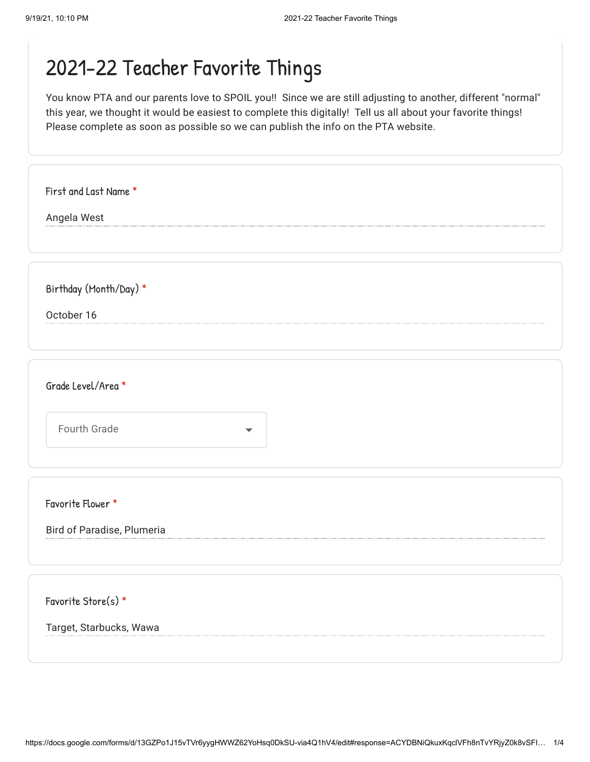| First and Last Name *                    |
|------------------------------------------|
| Angela West                              |
|                                          |
| Birthday (Month/Day) *                   |
| October 16                               |
|                                          |
| Grade Level/Area *                       |
| Fourth Grade<br>$\overline{\phantom{a}}$ |
|                                          |
| Favorite Flower *                        |
| Bird of Paradise, Plumeria               |
|                                          |
| Favorite Store(s) *                      |
| Target, Starbucks, Wawa                  |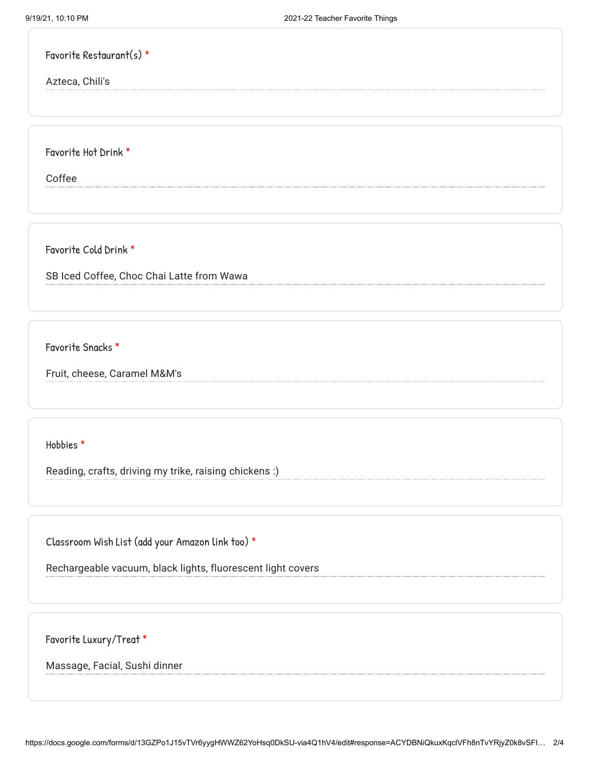|  | Favorite Restaurant(s) $*$ |  |
|--|----------------------------|--|
|--|----------------------------|--|

Azteca, Chili's

Favorite Hot Drink \*

Coffee

Favorite Cold Drink \*

SB Iced Coffee, Choc Chai Latte from Wawa

Favorite Snacks \*

Fruit, cheese, Caramel M&M's

Hobbies \*

Reading, crafts, driving my trike, raising chickens :)

Classroom Wish List (add your Amazon link too) \*

Rechargeable vacuum, black lights, fluorescent light covers

Favorite Luxury/Treat \*

Massage, Facial, Sushi dinner